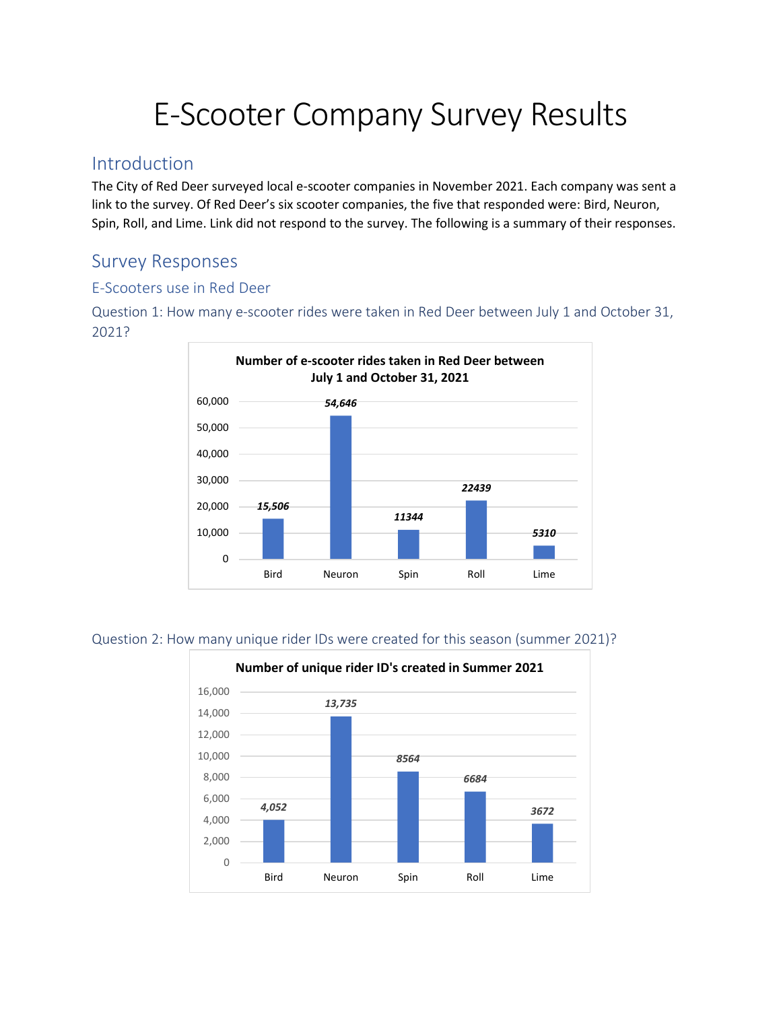# E-Scooter Company Survey Results

# Introduction

The City of Red Deer surveyed local e-scooter companies in November 2021. Each company was sent a link to the survey. Of Red Deer's six scooter companies, the five that responded were: Bird, Neuron, Spin, Roll, and Lime. Link did not respond to the survey. The following is a summary of their responses.

# Survey Responses

# E-Scooters use in Red Deer

Question 1: How many e-scooter rides were taken in Red Deer between July 1 and October 31, 2021?



### Question 2: How many unique rider IDs were created for this season (summer 2021)?

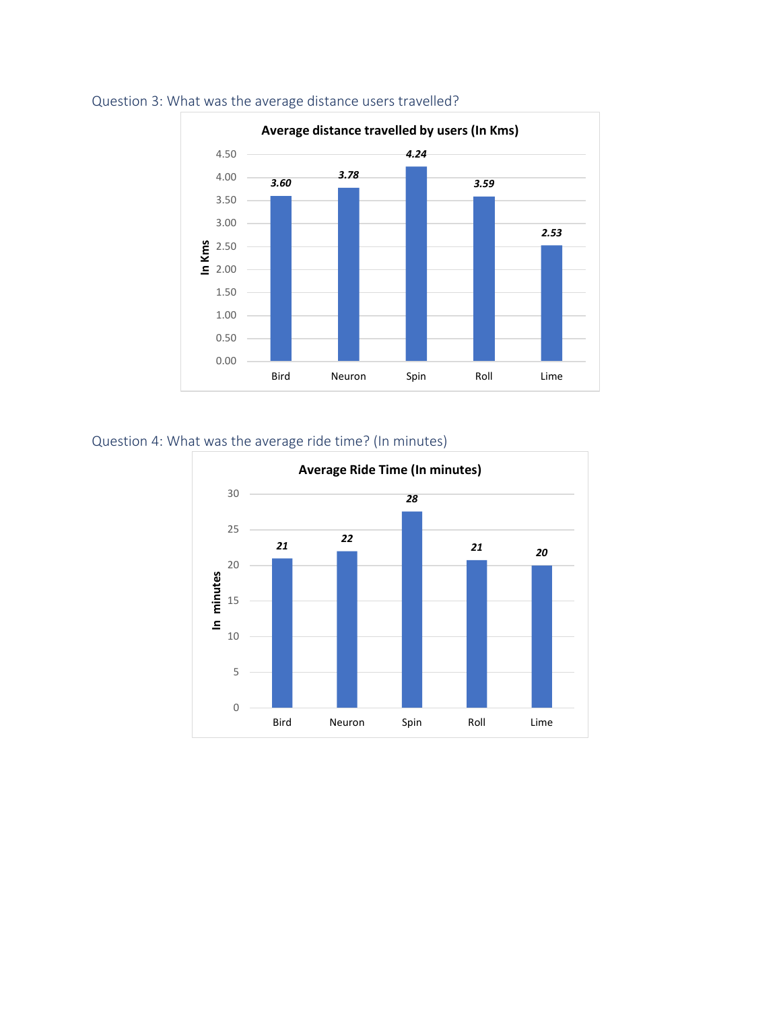

# Question 3: What was the average distance users travelled?

Question 4: What was the average ride time? (In minutes)

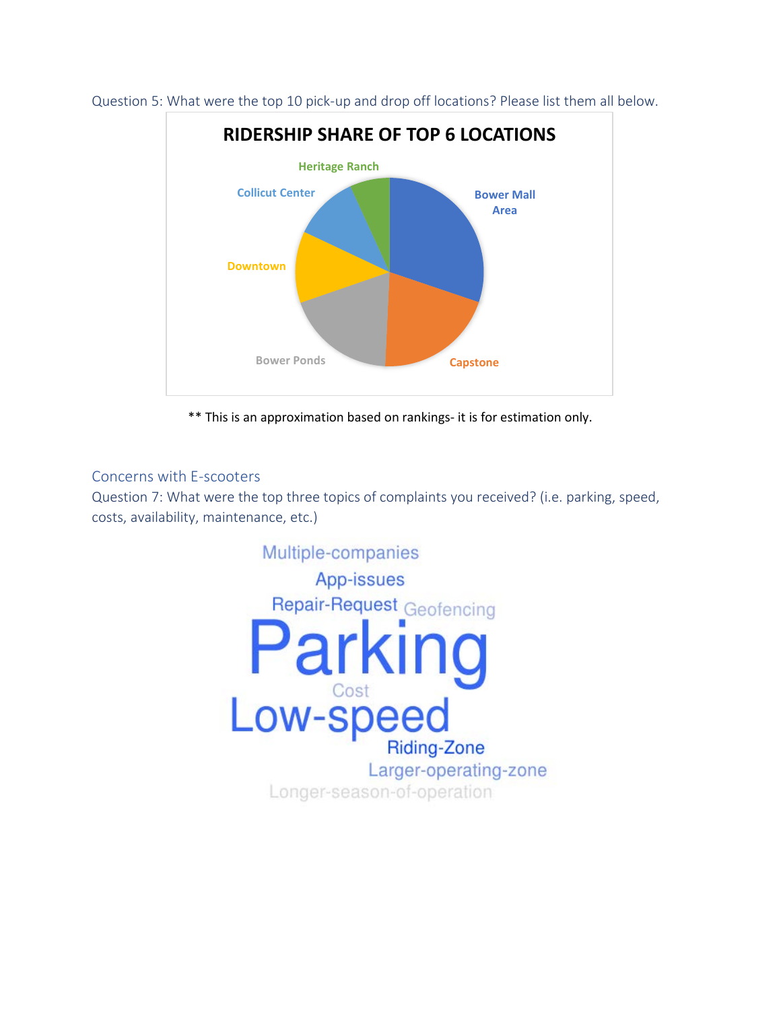

Question 5: What were the top 10 pick-up and drop off locations? Please list them all below.

\*\* This is an approximation based on rankings- it is for estimation only.

# Concerns with E-scooters

Question 7: What were the top three topics of complaints you received? (i.e. parking, speed, costs, availability, maintenance, etc.)

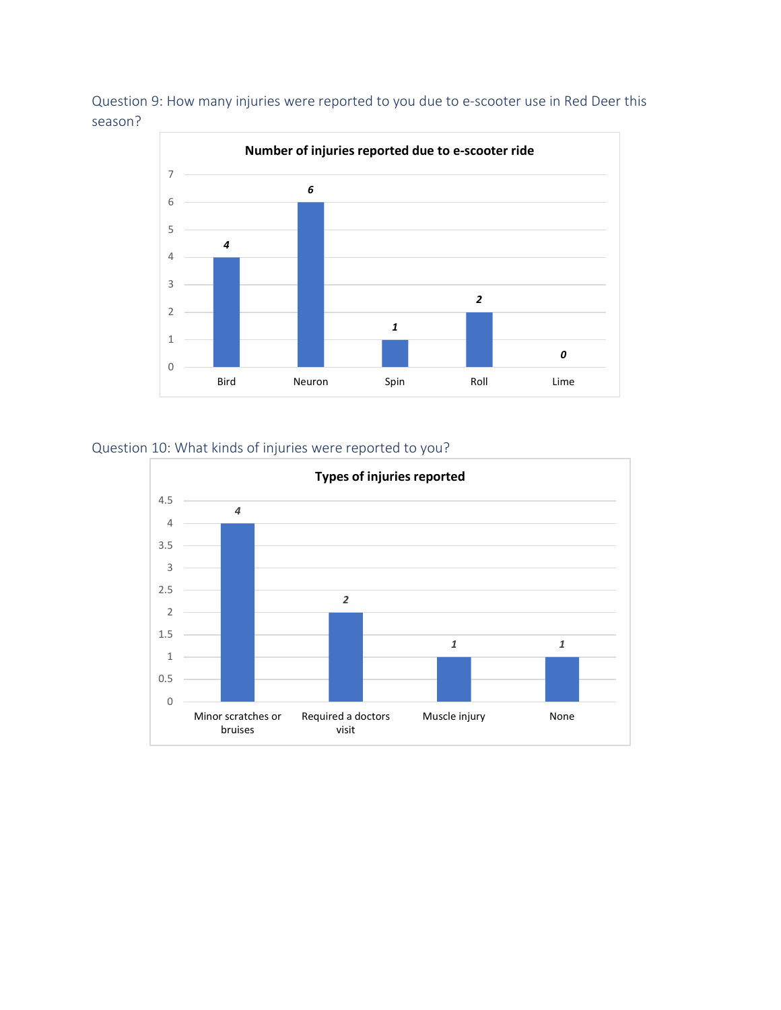Question 9: How many injuries were reported to you due to e-scooter use in Red Deer this season?



Question 10: What kinds of injuries were reported to you?

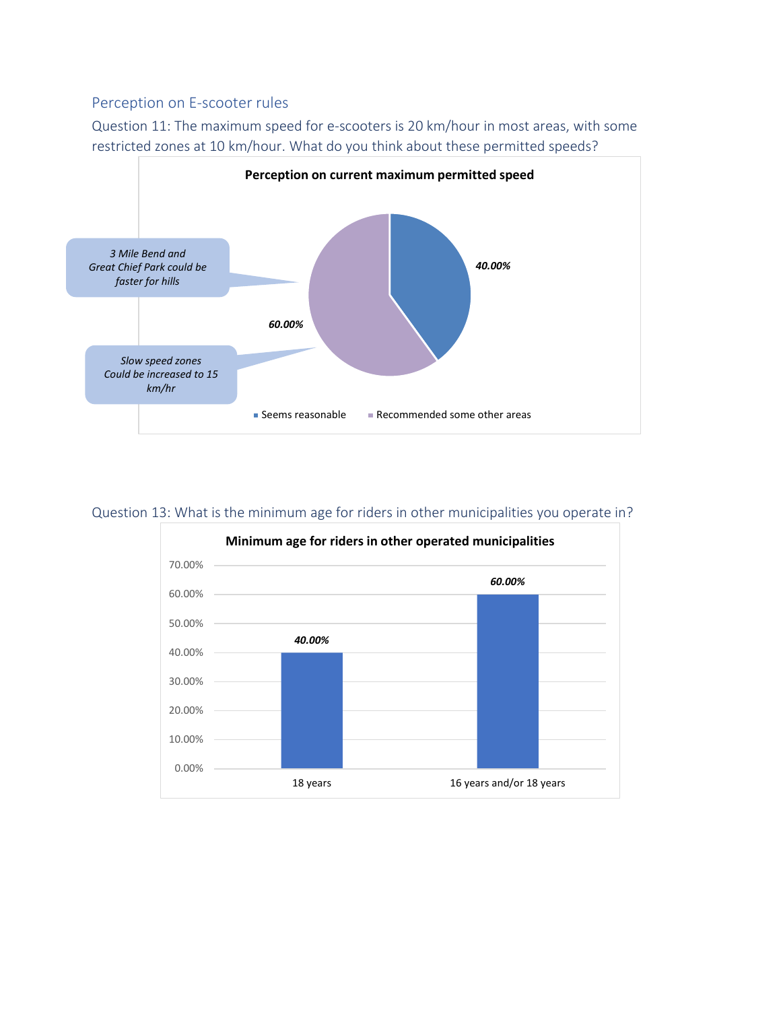#### Perception on E-scooter rules

Question 11: The maximum speed for e-scooters is 20 km/hour in most areas, with some restricted zones at 10 km/hour. What do you think about these permitted speeds?





#### Question 13: What is the minimum age for riders in other municipalities you operate in?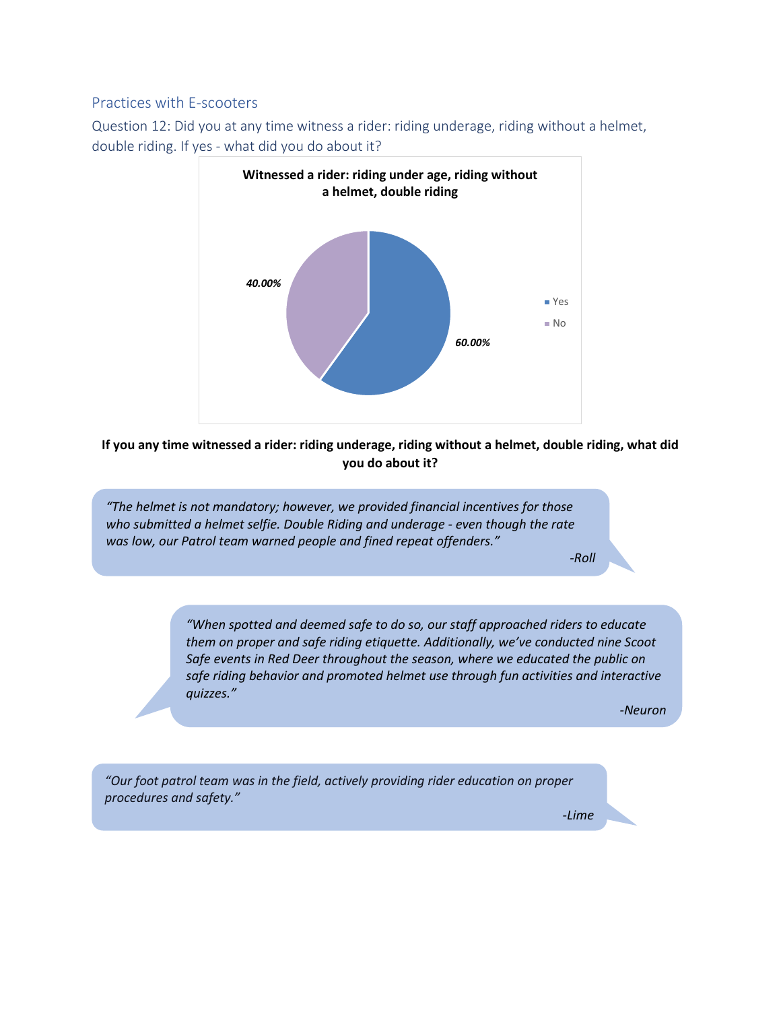Practices with E-scooters

Question 12: Did you at any time witness a rider: riding underage, riding without a helmet, double riding. If yes - what did you do about it?



#### **If you any time witnessed a rider: riding underage, riding without a helmet, double riding, what did you do about it?**

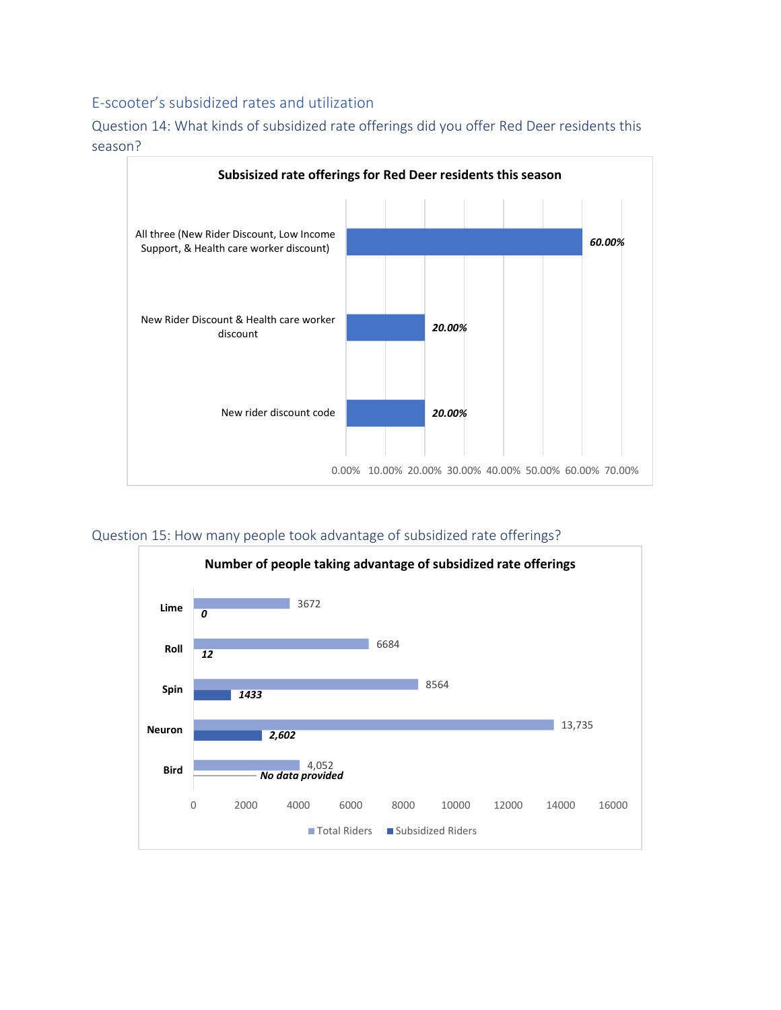## E-scooter's subsidized rates and utilization

Question 14: What kinds of subsidized rate offerings did you offer Red Deer residents this season?



## Question 15: How many people took advantage of subsidized rate offerings?